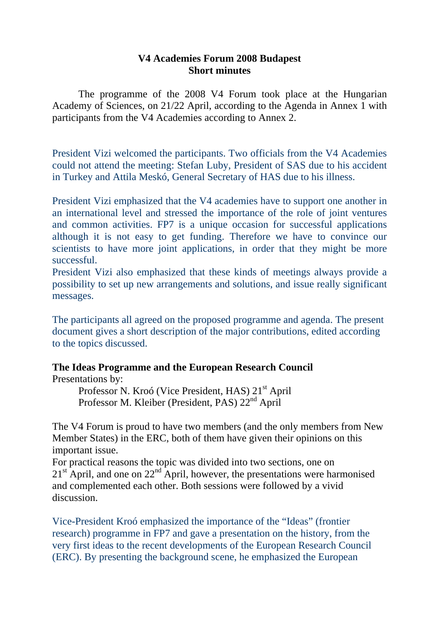#### **V4 Academies Forum 2008 Budapest Short minutes**

The programme of the 2008 V4 Forum took place at the Hungarian Academy of Sciences, on 21/22 April, according to the Agenda in Annex 1 with participants from the V4 Academies according to Annex 2.

President Vizi welcomed the participants. Two officials from the V4 Academies could not attend the meeting: Stefan Luby, President of SAS due to his accident in Turkey and Attila Meskó, General Secretary of HAS due to his illness.

President Vizi emphasized that the V4 academies have to support one another in an international level and stressed the importance of the role of joint ventures and common activities. FP7 is a unique occasion for successful applications although it is not easy to get funding. Therefore we have to convince our scientists to have more joint applications, in order that they might be more successful.

President Vizi also emphasized that these kinds of meetings always provide a possibility to set up new arrangements and solutions, and issue really significant messages.

The participants all agreed on the proposed programme and agenda. The present document gives a short description of the major contributions, edited according to the topics discussed.

## **The Ideas Programme and the European Research Council**

Presentations by:

Professor N. Kroó (Vice President, HAS) 21<sup>st</sup> April Professor M. Kleiber (President, PAS)  $22<sup>nd</sup>$  April

The V4 Forum is proud to have two members (and the only members from New Member States) in the ERC, both of them have given their opinions on this important issue.

For practical reasons the topic was divided into two sections, one on  $21<sup>st</sup>$  April, and one on  $22<sup>nd</sup>$  April, however, the presentations were harmonised and complemented each other. Both sessions were followed by a vivid discussion.

Vice-President Kroó emphasized the importance of the "Ideas" (frontier research) programme in FP7 and gave a presentation on the history, from the very first ideas to the recent developments of the European Research Council (ERC). By presenting the background scene, he emphasized the European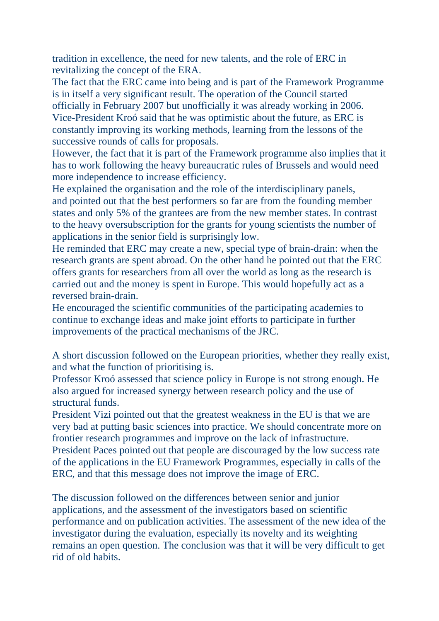tradition in excellence, the need for new talents, and the role of ERC in revitalizing the concept of the ERA.

The fact that the ERC came into being and is part of the Framework Programme is in itself a very significant result. The operation of the Council started officially in February 2007 but unofficially it was already working in 2006. Vice-President Kroó said that he was optimistic about the future, as ERC is constantly improving its working methods, learning from the lessons of the successive rounds of calls for proposals.

However, the fact that it is part of the Framework programme also implies that it has to work following the heavy bureaucratic rules of Brussels and would need more independence to increase efficiency.

He explained the organisation and the role of the interdisciplinary panels, and pointed out that the best performers so far are from the founding member states and only 5% of the grantees are from the new member states. In contrast to the heavy oversubscription for the grants for young scientists the number of applications in the senior field is surprisingly low.

He reminded that ERC may create a new, special type of brain-drain: when the research grants are spent abroad. On the other hand he pointed out that the ERC offers grants for researchers from all over the world as long as the research is carried out and the money is spent in Europe. This would hopefully act as a reversed brain-drain.

He encouraged the scientific communities of the participating academies to continue to exchange ideas and make joint efforts to participate in further improvements of the practical mechanisms of the JRC.

A short discussion followed on the European priorities, whether they really exist, and what the function of prioritising is.

Professor Kroó assessed that science policy in Europe is not strong enough. He also argued for increased synergy between research policy and the use of structural funds.

President Vizi pointed out that the greatest weakness in the EU is that we are very bad at putting basic sciences into practice. We should concentrate more on frontier research programmes and improve on the lack of infrastructure. President Paces pointed out that people are discouraged by the low success rate of the applications in the EU Framework Programmes, especially in calls of the ERC, and that this message does not improve the image of ERC.

The discussion followed on the differences between senior and junior applications, and the assessment of the investigators based on scientific performance and on publication activities. The assessment of the new idea of the investigator during the evaluation, especially its novelty and its weighting remains an open question. The conclusion was that it will be very difficult to get rid of old habits.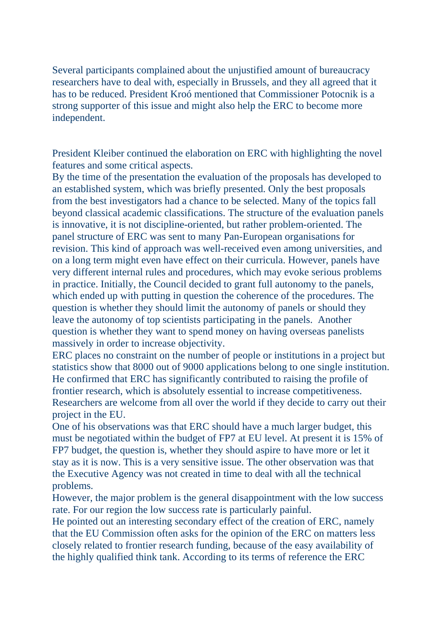Several participants complained about the unjustified amount of bureaucracy researchers have to deal with, especially in Brussels, and they all agreed that it has to be reduced. President Kroó mentioned that Commissioner Potocnik is a strong supporter of this issue and might also help the ERC to become more independent.

President Kleiber continued the elaboration on ERC with highlighting the novel features and some critical aspects.

By the time of the presentation the evaluation of the proposals has developed to an established system, which was briefly presented. Only the best proposals from the best investigators had a chance to be selected. Many of the topics fall beyond classical academic classifications. The structure of the evaluation panels is innovative, it is not discipline-oriented, but rather problem-oriented. The panel structure of ERC was sent to many Pan-European organisations for revision. This kind of approach was well-received even among universities, and on a long term might even have effect on their curricula. However, panels have very different internal rules and procedures, which may evoke serious problems in practice. Initially, the Council decided to grant full autonomy to the panels, which ended up with putting in question the coherence of the procedures. The question is whether they should limit the autonomy of panels or should they leave the autonomy of top scientists participating in the panels. Another question is whether they want to spend money on having overseas panelists massively in order to increase objectivity.

ERC places no constraint on the number of people or institutions in a project but statistics show that 8000 out of 9000 applications belong to one single institution. He confirmed that ERC has significantly contributed to raising the profile of frontier research, which is absolutely essential to increase competitiveness. Researchers are welcome from all over the world if they decide to carry out their project in the EU.

One of his observations was that ERC should have a much larger budget, this must be negotiated within the budget of FP7 at EU level. At present it is 15% of FP7 budget, the question is, whether they should aspire to have more or let it stay as it is now. This is a very sensitive issue. The other observation was that the Executive Agency was not created in time to deal with all the technical problems.

However, the major problem is the general disappointment with the low success rate. For our region the low success rate is particularly painful.

He pointed out an interesting secondary effect of the creation of ERC, namely that the EU Commission often asks for the opinion of the ERC on matters less closely related to frontier research funding, because of the easy availability of the highly qualified think tank. According to its terms of reference the ERC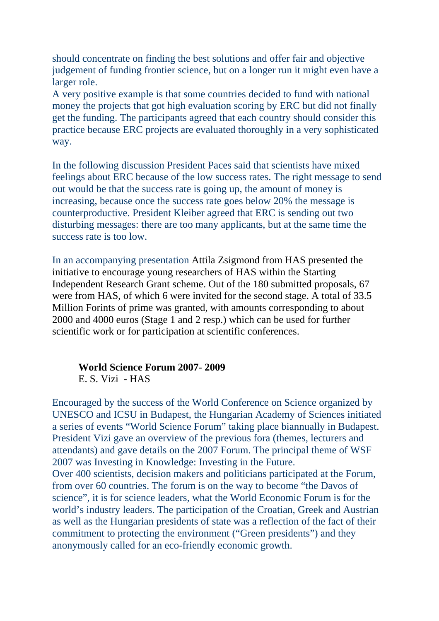should concentrate on finding the best solutions and offer fair and objective judgement of funding frontier science, but on a longer run it might even have a larger role.

A very positive example is that some countries decided to fund with national money the projects that got high evaluation scoring by ERC but did not finally get the funding. The participants agreed that each country should consider this practice because ERC projects are evaluated thoroughly in a very sophisticated way.

In the following discussion President Paces said that scientists have mixed feelings about ERC because of the low success rates. The right message to send out would be that the success rate is going up, the amount of money is increasing, because once the success rate goes below 20% the message is counterproductive. President Kleiber agreed that ERC is sending out two disturbing messages: there are too many applicants, but at the same time the success rate is too low.

In an accompanying presentation Attila Zsigmond from HAS presented the initiative to encourage young researchers of HAS within the Starting Independent Research Grant scheme. Out of the 180 submitted proposals, 67 were from HAS, of which 6 were invited for the second stage. A total of 33.5 Million Forints of prime was granted, with amounts corresponding to about 2000 and 4000 euros (Stage 1 and 2 resp.) which can be used for further scientific work or for participation at scientific conferences.

#### **World Science Forum 2007- 2009**  E. S. Vizi - HAS

Encouraged by the success of the World Conference on Science organized by UNESCO and ICSU in Budapest, the Hungarian Academy of Sciences initiated a series of events "World Science Forum" taking place biannually in Budapest. President Vizi gave an overview of the previous fora (themes, lecturers and attendants) and gave details on the 2007 Forum. The principal theme of WSF 2007 was Investing in Knowledge: Investing in the Future. Over 400 scientists, decision makers and politicians participated at the Forum, from over 60 countries. The forum is on the way to become "the Davos of science", it is for science leaders, what the World Economic Forum is for the world's industry leaders. The participation of the Croatian, Greek and Austrian as well as the Hungarian presidents of state was a reflection of the fact of their commitment to protecting the environment ("Green presidents") and they anonymously called for an eco-friendly economic growth.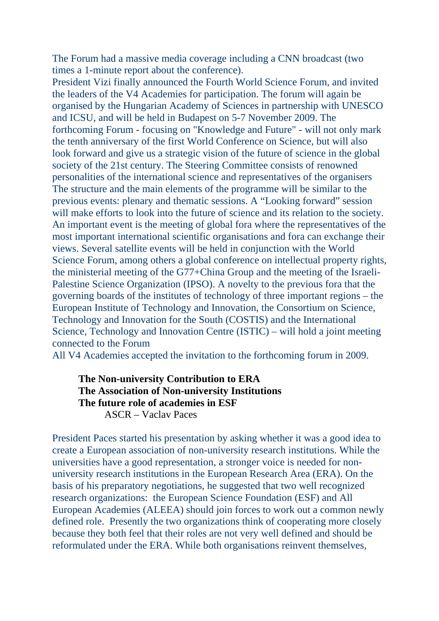The Forum had a massive media coverage including a CNN broadcast (two times a 1-minute report about the conference).

President Vizi finally announced the Fourth World Science Forum, and invited the leaders of the V4 Academies for participation. The forum will again be organised by the Hungarian Academy of Sciences in partnership with UNESCO and ICSU, and will be held in Budapest on 5-7 November 2009. The forthcoming Forum - focusing on "Knowledge and Future" - will not only mark the tenth anniversary of the first World Conference on Science, but will also look forward and give us a strategic vision of the future of science in the global society of the 21st century. The Steering Committee consists of renowned personalities of the international science and representatives of the organisers The structure and the main elements of the programme will be similar to the previous events: plenary and thematic sessions. A "Looking forward" session will make efforts to look into the future of science and its relation to the society. An important event is the meeting of global fora where the representatives of the most important international scientific organisations and fora can exchange their views. Several satellite events will be held in conjunction with the World Science Forum, among others a global conference on intellectual property rights, the ministerial meeting of the G77+China Group and the meeting of the Israeli-Palestine Science Organization (IPSO). A novelty to the previous fora that the governing boards of the institutes of technology of three important regions – the European Institute of Technology and Innovation, the Consortium on Science, Technology and Innovation for the South (COSTIS) and the International Science, Technology and Innovation Centre (ISTIC) – will hold a joint meeting connected to the Forum

All V4 Academies accepted the invitation to the forthcoming forum in 2009.

**The Non-university Contribution to ERA The Association of Non-university Institutions The future role of academies in ESF**  ASCR – Vaclav Paces

President Paces started his presentation by asking whether it was a good idea to create a European association of non-university research institutions. While the universities have a good representation, a stronger voice is needed for nonuniversity research institutions in the European Research Area (ERA). On the basis of his preparatory negotiations, he suggested that two well recognized research organizations: the European Science Foundation (ESF) and All European Academies (ALEEA) should join forces to work out a common newly defined role. Presently the two organizations think of cooperating more closely because they both feel that their roles are not very well defined and should be reformulated under the ERA. While both organisations reinvent themselves,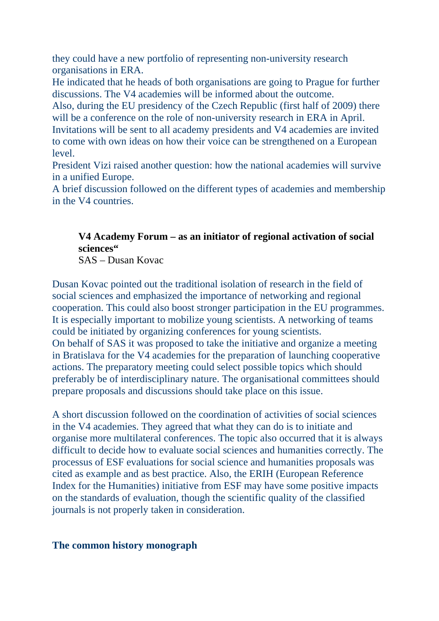they could have a new portfolio of representing non-university research organisations in ERA.

He indicated that he heads of both organisations are going to Prague for further discussions. The V4 academies will be informed about the outcome.

Also, during the EU presidency of the Czech Republic (first half of 2009) there will be a conference on the role of non-university research in ERA in April.

Invitations will be sent to all academy presidents and V4 academies are invited to come with own ideas on how their voice can be strengthened on a European level.

President Vizi raised another question: how the national academies will survive in a unified Europe.

A brief discussion followed on the different types of academies and membership in the V4 countries.

# **V4 Academy Forum – as an initiator of regional activation of social sciences"**

SAS – Dusan Kovac

Dusan Kovac pointed out the traditional isolation of research in the field of social sciences and emphasized the importance of networking and regional cooperation. This could also boost stronger participation in the EU programmes. It is especially important to mobilize young scientists. A networking of teams could be initiated by organizing conferences for young scientists. On behalf of SAS it was proposed to take the initiative and organize a meeting in Bratislava for the V4 academies for the preparation of launching cooperative actions. The preparatory meeting could select possible topics which should preferably be of interdisciplinary nature. The organisational committees should prepare proposals and discussions should take place on this issue.

A short discussion followed on the coordination of activities of social sciences in the V4 academies. They agreed that what they can do is to initiate and organise more multilateral conferences. The topic also occurred that it is always difficult to decide how to evaluate social sciences and humanities correctly. The processus of ESF evaluations for social science and humanities proposals was cited as example and as best practice. Also, the ERIH (European Reference Index for the Humanities) initiative from ESF may have some positive impacts on the standards of evaluation, though the scientific quality of the classified journals is not properly taken in consideration.

## **The common history monograph**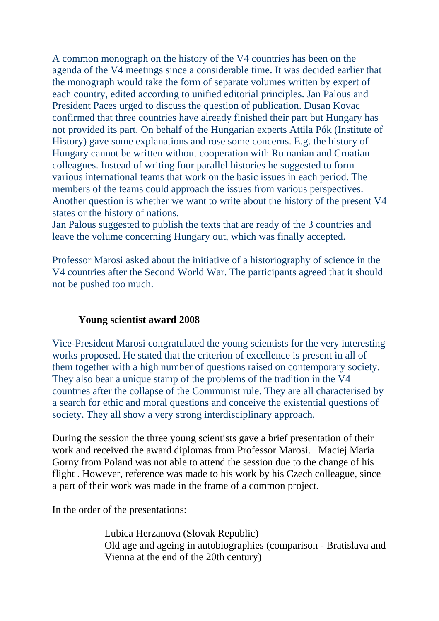A common monograph on the history of the V4 countries has been on the agenda of the V4 meetings since a considerable time. It was decided earlier that the monograph would take the form of separate volumes written by expert of each country, edited according to unified editorial principles. Jan Palous and President Paces urged to discuss the question of publication. Dusan Kovac confirmed that three countries have already finished their part but Hungary has not provided its part. On behalf of the Hungarian experts Attila Pók (Institute of History) gave some explanations and rose some concerns. E.g. the history of Hungary cannot be written without cooperation with Rumanian and Croatian colleagues. Instead of writing four parallel histories he suggested to form various international teams that work on the basic issues in each period. The members of the teams could approach the issues from various perspectives. Another question is whether we want to write about the history of the present V4 states or the history of nations.

Jan Palous suggested to publish the texts that are ready of the 3 countries and leave the volume concerning Hungary out, which was finally accepted.

Professor Marosi asked about the initiative of a historiography of science in the V4 countries after the Second World War. The participants agreed that it should not be pushed too much.

## **Young scientist award 2008**

Vice-President Marosi congratulated the young scientists for the very interesting works proposed. He stated that the criterion of excellence is present in all of them together with a high number of questions raised on contemporary society. They also bear a unique stamp of the problems of the tradition in the V4 countries after the collapse of the Communist rule. They are all characterised by a search for ethic and moral questions and conceive the existential questions of society. They all show a very strong interdisciplinary approach.

During the session the three young scientists gave a brief presentation of their work and received the award diplomas from Professor Marosi. Maciej Maria Gorny from Poland was not able to attend the session due to the change of his flight . However, reference was made to his work by his Czech colleague, since a part of their work was made in the frame of a common project.

In the order of the presentations:

Lubica Herzanova (Slovak Republic) Old age and ageing in autobiographies (comparison - Bratislava and Vienna at the end of the 20th century)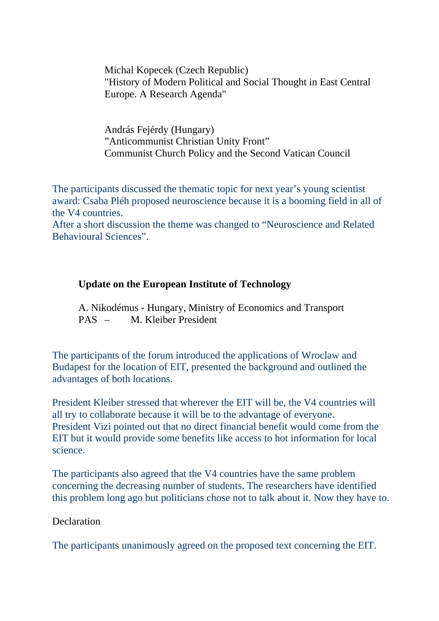Michal Kopecek (Czech Republic) "History of Modern Political and Social Thought in East Central Europe. A Research Agenda"

András Fejérdy (Hungary) "Anticommunist Christian Unity Front" Communist Church Policy and the Second Vatican Council

The participants discussed the thematic topic for next year's young scientist award: Csaba Pléh proposed neuroscience because it is a booming field in all of the V4 countries.

After a short discussion the theme was changed to "Neuroscience and Related Behavioural Sciences".

## **Update on the European Institute of Technology**

 A. Nikodémus - Hungary, Ministry of Economics and Transport PAS – M. Kleiber President

The participants of the forum introduced the applications of Wroclaw and Budapest for the location of EIT, presented the background and outlined the advantages of both locations.

President Kleiber stressed that wherever the EIT will be, the V4 countries will all try to collaborate because it will be to the advantage of everyone. President Vizi pointed out that no direct financial benefit would come from the EIT but it would provide some benefits like access to hot information for local science.

The participants also agreed that the V4 countries have the same problem concerning the decreasing number of students. The researchers have identified this problem long ago but politicians chose not to talk about it. Now they have to.

#### **Declaration**

The participants unanimously agreed on the proposed text concerning the EIT.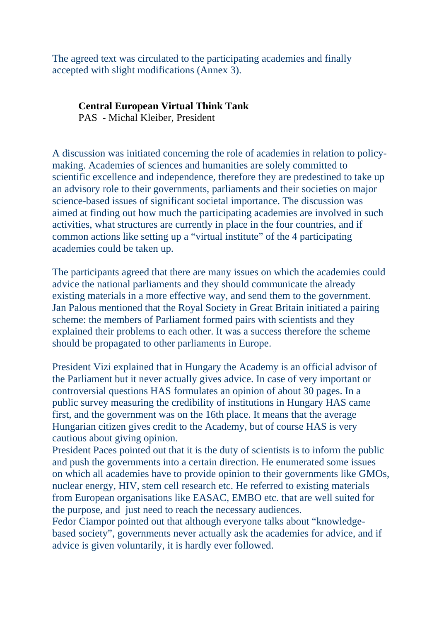The agreed text was circulated to the participating academies and finally accepted with slight modifications (Annex 3).

#### **Central European Virtual Think Tank**

PAS - Michal Kleiber, President

A discussion was initiated concerning the role of academies in relation to policymaking. Academies of sciences and humanities are solely committed to scientific excellence and independence, therefore they are predestined to take up an advisory role to their governments, parliaments and their societies on major science-based issues of significant societal importance. The discussion was aimed at finding out how much the participating academies are involved in such activities, what structures are currently in place in the four countries, and if common actions like setting up a "virtual institute" of the 4 participating academies could be taken up.

The participants agreed that there are many issues on which the academies could advice the national parliaments and they should communicate the already existing materials in a more effective way, and send them to the government. Jan Palous mentioned that the Royal Society in Great Britain initiated a pairing scheme: the members of Parliament formed pairs with scientists and they explained their problems to each other. It was a success therefore the scheme should be propagated to other parliaments in Europe.

President Vizi explained that in Hungary the Academy is an official advisor of the Parliament but it never actually gives advice. In case of very important or controversial questions HAS formulates an opinion of about 30 pages. In a public survey measuring the credibility of institutions in Hungary HAS came first, and the government was on the 16th place. It means that the average Hungarian citizen gives credit to the Academy, but of course HAS is very cautious about giving opinion.

President Paces pointed out that it is the duty of scientists is to inform the public and push the governments into a certain direction. He enumerated some issues on which all academies have to provide opinion to their governments like GMOs, nuclear energy, HIV, stem cell research etc. He referred to existing materials from European organisations like EASAC, EMBO etc. that are well suited for the purpose, and just need to reach the necessary audiences.

Fedor Ciampor pointed out that although everyone talks about "knowledgebased society", governments never actually ask the academies for advice, and if advice is given voluntarily, it is hardly ever followed.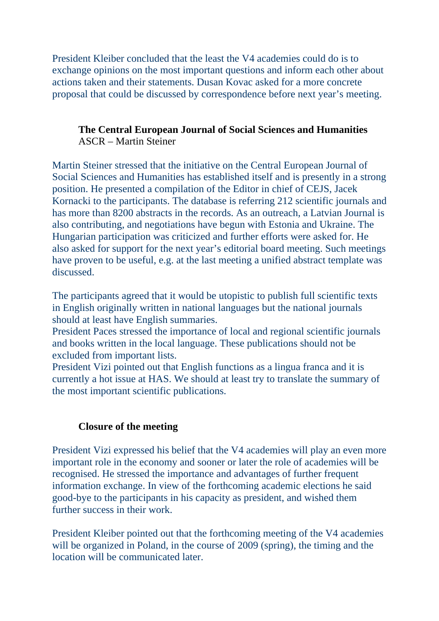President Kleiber concluded that the least the V4 academies could do is to exchange opinions on the most important questions and inform each other about actions taken and their statements. Dusan Kovac asked for a more concrete proposal that could be discussed by correspondence before next year's meeting.

## **The Central European Journal of Social Sciences and Humanities**  ASCR – Martin Steiner

Martin Steiner stressed that the initiative on the Central European Journal of Social Sciences and Humanities has established itself and is presently in a strong position. He presented a compilation of the Editor in chief of CEJS, Jacek Kornacki to the participants. The database is referring 212 scientific journals and has more than 8200 abstracts in the records. As an outreach, a Latvian Journal is also contributing, and negotiations have begun with Estonia and Ukraine. The Hungarian participation was criticized and further efforts were asked for. He also asked for support for the next year's editorial board meeting. Such meetings have proven to be useful, e.g. at the last meeting a unified abstract template was discussed.

The participants agreed that it would be utopistic to publish full scientific texts in English originally written in national languages but the national journals should at least have English summaries.

President Paces stressed the importance of local and regional scientific journals and books written in the local language. These publications should not be excluded from important lists.

President Vizi pointed out that English functions as a lingua franca and it is currently a hot issue at HAS. We should at least try to translate the summary of the most important scientific publications.

## **Closure of the meeting**

President Vizi expressed his belief that the V4 academies will play an even more important role in the economy and sooner or later the role of academies will be recognised. He stressed the importance and advantages of further frequent information exchange. In view of the forthcoming academic elections he said good-bye to the participants in his capacity as president, and wished them further success in their work.

President Kleiber pointed out that the forthcoming meeting of the V4 academies will be organized in Poland, in the course of 2009 (spring), the timing and the location will be communicated later.